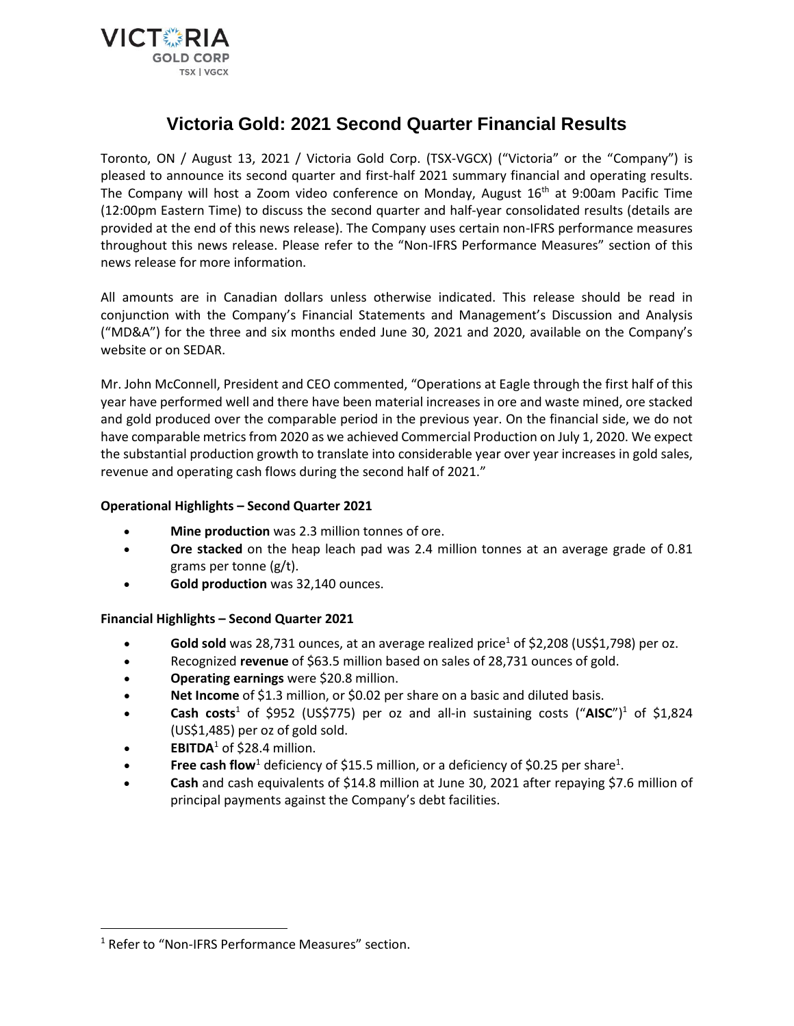

# **Victoria Gold: 2021 Second Quarter Financial Results**

Toronto, ON / August 13, 2021 / Victoria Gold Corp. (TSX-VGCX) ("Victoria" or the "Company") is pleased to announce its second quarter and first-half 2021 summary financial and operating results. The Company will host a Zoom video conference on Monday, August  $16<sup>th</sup>$  at 9:00am Pacific Time (12:00pm Eastern Time) to discuss the second quarter and half-year consolidated results (details are provided at the end of this news release). The Company uses certain non-IFRS performance measures throughout this news release. Please refer to the "Non-IFRS Performance Measures" section of this news release for more information.

All amounts are in Canadian dollars unless otherwise indicated. This release should be read in conjunction with the Company's Financial Statements and Management's Discussion and Analysis ("MD&A") for the three and six months ended June 30, 2021 and 2020, available on the Company's website or on SEDAR.

Mr. John McConnell, President and CEO commented, "Operations at Eagle through the first half of this year have performed well and there have been material increases in ore and waste mined, ore stacked and gold produced over the comparable period in the previous year. On the financial side, we do not have comparable metrics from 2020 as we achieved Commercial Production on July 1, 2020. We expect the substantial production growth to translate into considerable year over year increases in gold sales, revenue and operating cash flows during the second half of 2021."

# **Operational Highlights – Second Quarter 2021**

- **Mine production** was 2.3 million tonnes of ore.
- **Ore stacked** on the heap leach pad was 2.4 million tonnes at an average grade of 0.81 grams per tonne (g/t).
- **Gold production** was 32,140 ounces.

# **Financial Highlights – Second Quarter 2021**

- Gold sold was 28,731 ounces, at an average realized price<sup>1</sup> of \$2,208 (US\$1,798) per oz.
- Recognized **revenue** of \$63.5 million based on sales of 28,731 ounces of gold.
- **Operating earnings** were \$20.8 million.
- **Net Income** of \$1.3 million, or \$0.02 per share on a basic and diluted basis.
- **Cash costs**<sup>1</sup> of \$952 (US\$775) per oz and all-in sustaining costs ("**AISC**")<sup>1</sup> of \$1,824 (US\$1,485) per oz of gold sold.
- **EBITDA**<sup>1</sup> of \$28.4 million.
- **• Free cash flow**<sup>1</sup> deficiency of \$15.5 million, or a deficiency of \$0.25 per share<sup>1</sup>.
- **Cash** and cash equivalents of \$14.8 million at June 30, 2021 after repaying \$7.6 million of principal payments against the Company's debt facilities.

<sup>&</sup>lt;sup>1</sup> Refer to "Non-IFRS Performance Measures" section.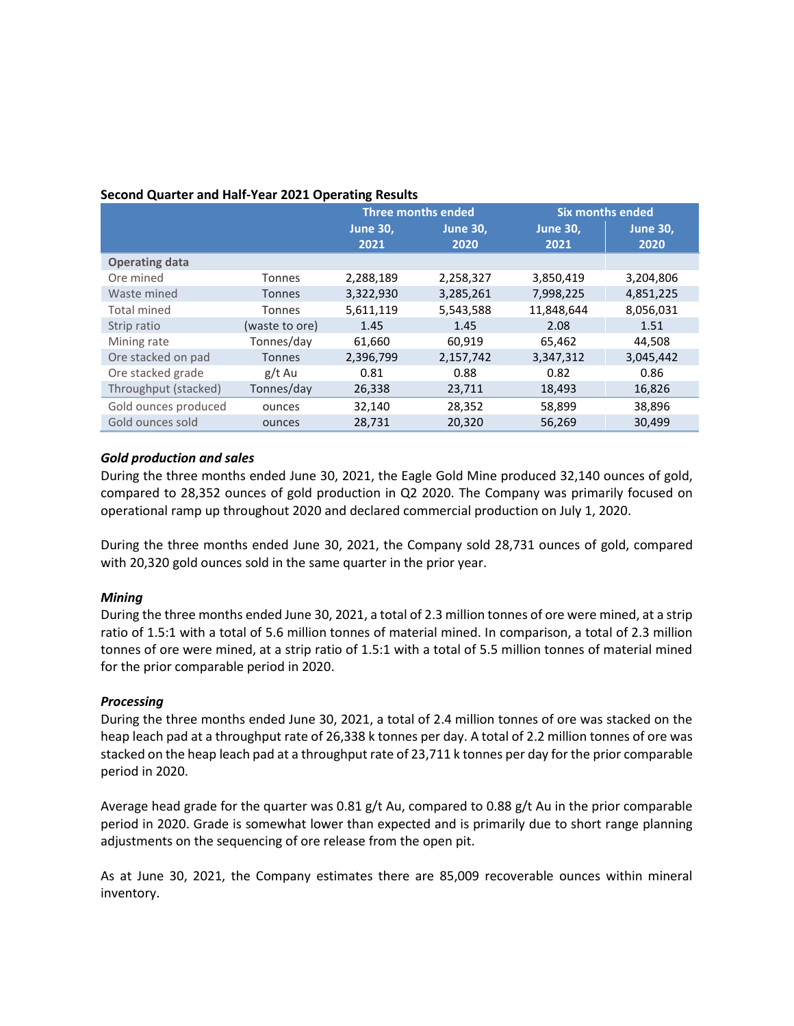|                       |                | <b>Three months ended</b> |                         | <b>Six months ended</b> |                         |
|-----------------------|----------------|---------------------------|-------------------------|-------------------------|-------------------------|
|                       |                | <b>June 30,</b><br>2021   | <b>June 30,</b><br>2020 | <b>June 30,</b><br>2021 | <b>June 30,</b><br>2020 |
| <b>Operating data</b> |                |                           |                         |                         |                         |
| Ore mined             | <b>Tonnes</b>  | 2,288,189                 | 2,258,327               | 3,850,419               | 3,204,806               |
| Waste mined           | <b>Tonnes</b>  | 3,322,930                 | 3,285,261               | 7,998,225               | 4,851,225               |
| <b>Total mined</b>    | <b>Tonnes</b>  | 5,611,119                 | 5,543,588               | 11,848,644              | 8,056,031               |
| Strip ratio           | (waste to ore) | 1.45                      | 1.45                    | 2.08                    | 1.51                    |
| Mining rate           | Tonnes/day     | 61,660                    | 60,919                  | 65,462                  | 44,508                  |
| Ore stacked on pad    | <b>Tonnes</b>  | 2,396,799                 | 2,157,742               | 3,347,312               | 3,045,442               |
| Ore stacked grade     | g/t Au         | 0.81                      | 0.88                    | 0.82                    | 0.86                    |
| Throughput (stacked)  | Tonnes/day     | 26,338                    | 23,711                  | 18,493                  | 16,826                  |
| Gold ounces produced  | ounces         | 32,140                    | 28,352                  | 58,899                  | 38,896                  |
| Gold ounces sold      | ounces         | 28,731                    | 20,320                  | 56,269                  | 30,499                  |

## **Second Quarter and Half-Year 2021 Operating Results**

## *Gold production and sales*

During the three months ended June 30, 2021, the Eagle Gold Mine produced 32,140 ounces of gold, compared to 28,352 ounces of gold production in Q2 2020. The Company was primarily focused on operational ramp up throughout 2020 and declared commercial production on July 1, 2020.

During the three months ended June 30, 2021, the Company sold 28,731 ounces of gold, compared with 20,320 gold ounces sold in the same quarter in the prior year.

#### *Mining*

During the three months ended June 30, 2021, a total of 2.3 million tonnes of ore were mined, at a strip ratio of 1.5:1 with a total of 5.6 million tonnes of material mined. In comparison, a total of 2.3 million tonnes of ore were mined, at a strip ratio of 1.5:1 with a total of 5.5 million tonnes of material mined for the prior comparable period in 2020.

#### *Processing*

During the three months ended June 30, 2021, a total of 2.4 million tonnes of ore was stacked on the heap leach pad at a throughput rate of 26,338 k tonnes per day. A total of 2.2 million tonnes of ore was stacked on the heap leach pad at a throughput rate of 23,711 k tonnes per day for the prior comparable period in 2020.

Average head grade for the quarter was 0.81 g/t Au, compared to 0.88 g/t Au in the prior comparable period in 2020. Grade is somewhat lower than expected and is primarily due to short range planning adjustments on the sequencing of ore release from the open pit.

As at June 30, 2021, the Company estimates there are 85,009 recoverable ounces within mineral inventory.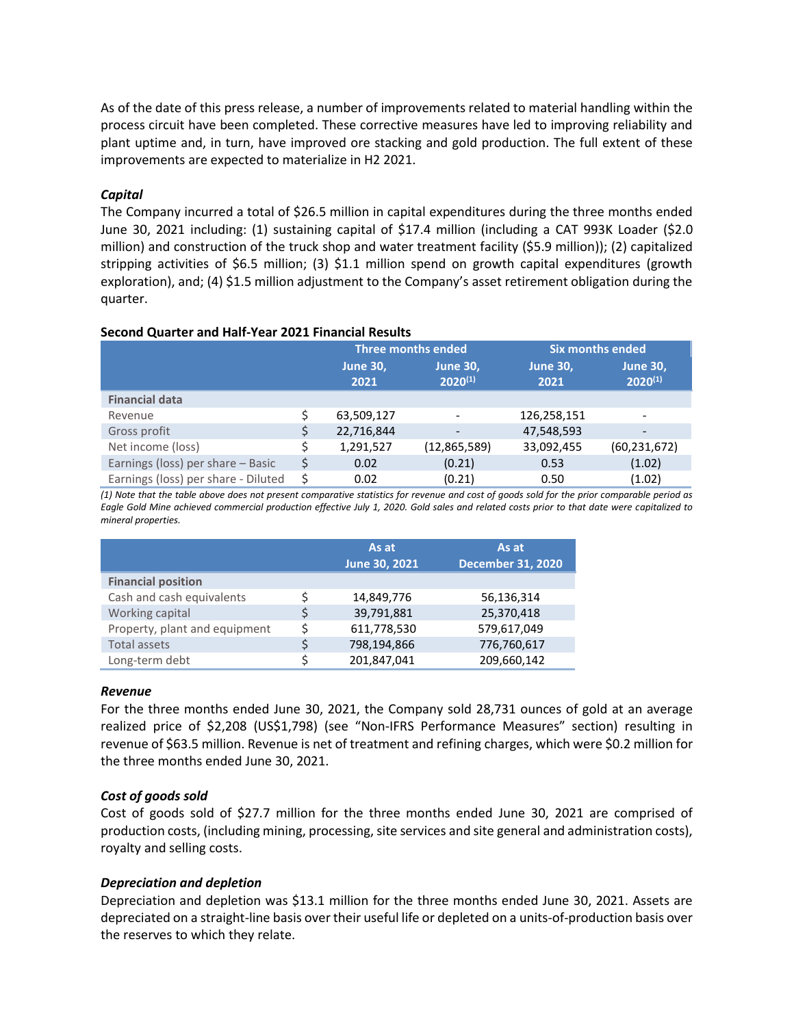As of the date of this press release, a number of improvements related to material handling within the process circuit have been completed. These corrective measures have led to improving reliability and plant uptime and, in turn, have improved ore stacking and gold production. The full extent of these improvements are expected to materialize in H2 2021.

## *Capital*

The Company incurred a total of \$26.5 million in capital expenditures during the three months ended June 30, 2021 including: (1) sustaining capital of \$17.4 million (including a CAT 993K Loader (\$2.0 million) and construction of the truck shop and water treatment facility (\$5.9 million)); (2) capitalized stripping activities of \$6.5 million; (3) \$1.1 million spend on growth capital expenditures (growth exploration), and; (4) \$1.5 million adjustment to the Company's asset retirement obligation during the quarter.

## **Second Quarter and Half-Year 2021 Financial Results**

|                                         |   | <b>Three months ended</b> |                                 | <b>Six months ended</b> |                                 |
|-----------------------------------------|---|---------------------------|---------------------------------|-------------------------|---------------------------------|
|                                         |   | <b>June 30,</b><br>2021   | <b>June 30,</b><br>$2020^{(1)}$ | <b>June 30,</b><br>2021 | <b>June 30,</b><br>$2020^{(1)}$ |
| <b>Financial data</b>                   |   |                           |                                 |                         |                                 |
| Revenue                                 |   | 63,509,127                |                                 | 126,258,151             |                                 |
| Gross profit                            | Ś | 22,716,844                |                                 | 47,548,593              |                                 |
| Net income (loss)                       |   | 1,291,527                 | (12, 865, 589)                  | 33,092,455              | (60, 231, 672)                  |
| Earnings (loss) per share - Basic<br>Ŝ. |   | 0.02                      | (0.21)                          | 0.53                    | (1.02)                          |
| Earnings (loss) per share - Diluted     |   | 0.02                      | (0.21)                          | 0.50                    | (1.02)                          |

*(1) Note that the table above does not present comparative statistics for revenue and cost of goods sold for the prior comparable period as Eagle Gold Mine achieved commercial production effective July 1, 2020. Gold sales and related costs prior to that date were capitalized to mineral properties.*

|                               |   | As at<br>June 30, 2021 | As at<br><b>December 31, 2020</b> |
|-------------------------------|---|------------------------|-----------------------------------|
| <b>Financial position</b>     |   |                        |                                   |
| Cash and cash equivalents     | Ś | 14,849,776             | 56,136,314                        |
| Working capital               | Ś | 39,791,881             | 25,370,418                        |
| Property, plant and equipment | Ś | 611,778,530            | 579,617,049                       |
| <b>Total assets</b>           | Ś | 798,194,866            | 776,760,617                       |
| Long-term debt                | Ś | 201,847,041            | 209,660,142                       |

#### *Revenue*

For the three months ended June 30, 2021, the Company sold 28,731 ounces of gold at an average realized price of \$2,208 (US\$1,798) (see "Non-IFRS Performance Measures" section) resulting in revenue of \$63.5 million. Revenue is net of treatment and refining charges, which were \$0.2 million for the three months ended June 30, 2021.

#### *Cost of goods sold*

Cost of goods sold of \$27.7 million for the three months ended June 30, 2021 are comprised of production costs, (including mining, processing, site services and site general and administration costs), royalty and selling costs.

# *Depreciation and depletion*

Depreciation and depletion was \$13.1 million for the three months ended June 30, 2021. Assets are depreciated on a straight-line basis over their useful life or depleted on a units-of-production basis over the reserves to which they relate.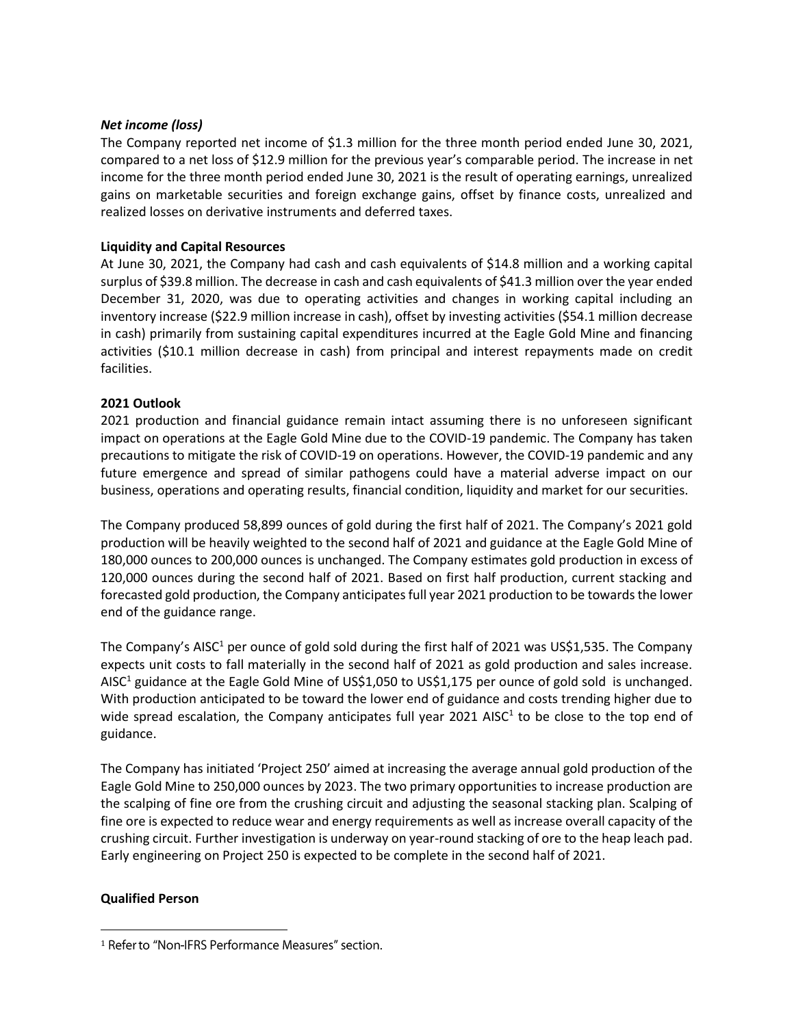# *Net income (loss)*

The Company reported net income of \$1.3 million for the three month period ended June 30, 2021, compared to a net loss of \$12.9 million for the previous year's comparable period. The increase in net income for the three month period ended June 30, 2021 is the result of operating earnings, unrealized gains on marketable securities and foreign exchange gains, offset by finance costs, unrealized and realized losses on derivative instruments and deferred taxes.

## **Liquidity and Capital Resources**

At June 30, 2021, the Company had cash and cash equivalents of \$14.8 million and a working capital surplus of \$39.8 million. The decrease in cash and cash equivalents of \$41.3 million over the year ended December 31, 2020, was due to operating activities and changes in working capital including an inventory increase (\$22.9 million increase in cash), offset by investing activities (\$54.1 million decrease in cash) primarily from sustaining capital expenditures incurred at the Eagle Gold Mine and financing activities (\$10.1 million decrease in cash) from principal and interest repayments made on credit facilities.

# **2021 Outlook**

2021 production and financial guidance remain intact assuming there is no unforeseen significant impact on operations at the Eagle Gold Mine due to the COVID-19 pandemic. The Company has taken precautions to mitigate the risk of COVID-19 on operations. However, the COVID-19 pandemic and any future emergence and spread of similar pathogens could have a material adverse impact on our business, operations and operating results, financial condition, liquidity and market for our securities.

The Company produced 58,899 ounces of gold during the first half of 2021. The Company's 2021 gold production will be heavily weighted to the second half of 2021 and guidance at the Eagle Gold Mine of 180,000 ounces to 200,000 ounces is unchanged. The Company estimates gold production in excess of 120,000 ounces during the second half of 2021. Based on first half production, current stacking and forecasted gold production, the Company anticipates full year 2021 production to be towards the lower end of the guidance range.

The Company's AISC<sup>1</sup> per ounce of gold sold during the first half of 2021 was US\$1,535. The Company expects unit costs to fall materially in the second half of 2021 as gold production and sales increase. AISC<sup>1</sup> guidance at the Eagle Gold Mine of US\$1,050 to US\$1,175 per ounce of gold sold is unchanged. With production anticipated to be toward the lower end of guidance and costs trending higher due to wide spread escalation, the Company anticipates full year 2021 AISC<sup>1</sup> to be close to the top end of guidance.

The Company has initiated 'Project 250' aimed at increasing the average annual gold production of the Eagle Gold Mine to 250,000 ounces by 2023. The two primary opportunities to increase production are the scalping of fine ore from the crushing circuit and adjusting the seasonal stacking plan. Scalping of fine ore is expected to reduce wear and energy requirements as well as increase overall capacity of the crushing circuit. Further investigation is underway on year-round stacking of ore to the heap leach pad. Early engineering on Project 250 is expected to be complete in the second half of 2021.

#### **Qualified Person**

<sup>&</sup>lt;sup>1</sup> Refer to "Non-IFRS Performance Measures" section.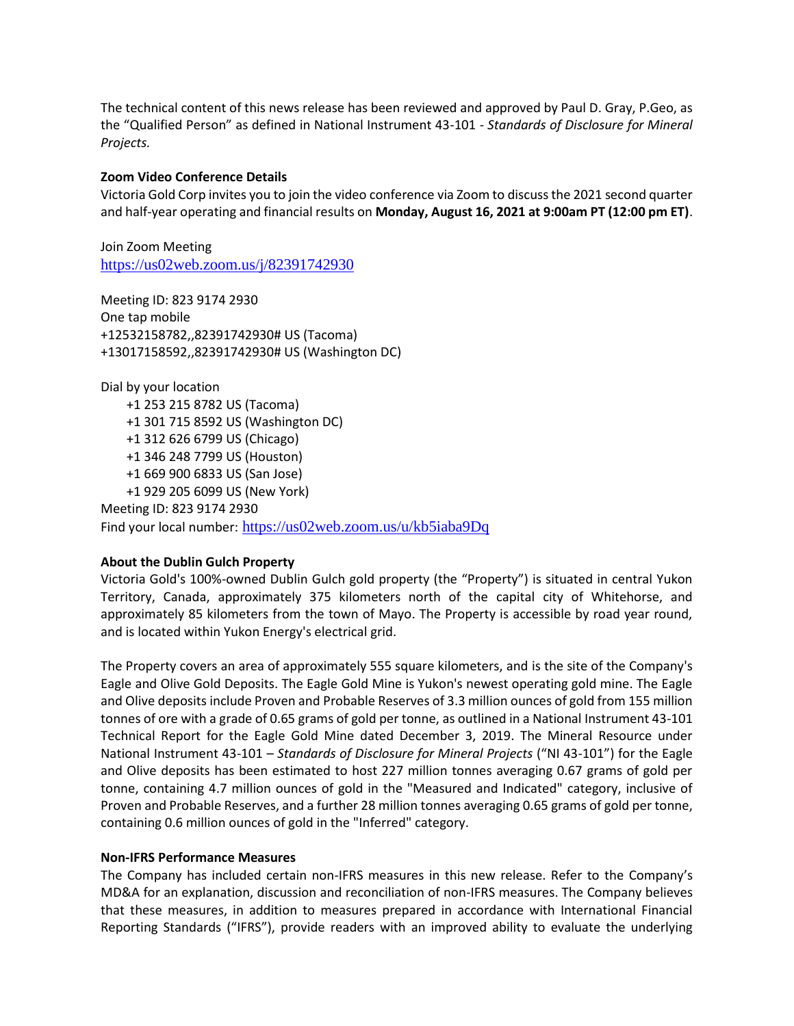The technical content of this news release has been reviewed and approved by Paul D. Gray, P.Geo, as the "Qualified Person" as defined in National Instrument 43-101 - *Standards of Disclosure for Mineral Projects.*

## **Zoom Video Conference Details**

Victoria Gold Corp invites you to join the video conference via Zoom to discuss the 2021 second quarter and half-year operating and financial results on **Monday, August 16, 2021 at 9:00am PT (12:00 pm ET)**.

Join Zoom Meeting [https://us02web.zoom.us/j/82391742930](https://can01.safelinks.protection.outlook.com/?url=https%3A%2F%2Fus02web.zoom.us%2Fj%2F82391742930&data=04%7C01%7Cmrendall%40vgcx.com%7Ce106dab9f9dc44f3c67d08d95cfcc6c3%7Ca34ea4c3b76a4ea1ab7ecdb09b93c4c9%7C0%7C0%7C637643062997964206%7CUnknown%7CTWFpbGZsb3d8eyJWIjoiMC4wLjAwMDAiLCJQIjoiV2luMzIiLCJBTiI6Ik1haWwiLCJXVCI6Mn0%3D%7C1000&sdata=xg1gBVac7ewdKs%2FWoGtU%2BQWKFM6BtG4bgD8D0nPfn%2BE%3D&reserved=0)

Meeting ID: 823 9174 2930 One tap mobile +12532158782,,82391742930# US (Tacoma) +13017158592,,82391742930# US (Washington DC)

Dial by your location +1 253 215 8782 US (Tacoma) +1 301 715 8592 US (Washington DC) +1 312 626 6799 US (Chicago) +1 346 248 7799 US (Houston) +1 669 900 6833 US (San Jose) +1 929 205 6099 US (New York) Meeting ID: 823 9174 2930 Find your local number: [https://us02web.zoom.us/u/kb5iaba9Dq](https://can01.safelinks.protection.outlook.com/?url=https%3A%2F%2Fus02web.zoom.us%2Fu%2Fkb5iaba9Dq&data=04%7C01%7Cmrendall%40vgcx.com%7Ce106dab9f9dc44f3c67d08d95cfcc6c3%7Ca34ea4c3b76a4ea1ab7ecdb09b93c4c9%7C0%7C0%7C637643062997974158%7CUnknown%7CTWFpbGZsb3d8eyJWIjoiMC4wLjAwMDAiLCJQIjoiV2luMzIiLCJBTiI6Ik1haWwiLCJXVCI6Mn0%3D%7C1000&sdata=FVtWyaslT%2FgX%2BDh7TdOl2g4NwsKeNaOglgVe37nw6Ck%3D&reserved=0)

# **About the Dublin Gulch Property**

Victoria Gold's 100%-owned Dublin Gulch gold property (the "Property") is situated in central Yukon Territory, Canada, approximately 375 kilometers north of the capital city of Whitehorse, and approximately 85 kilometers from the town of Mayo. The Property is accessible by road year round, and is located within Yukon Energy's electrical grid.

The Property covers an area of approximately 555 square kilometers, and is the site of the Company's Eagle and Olive Gold Deposits. The Eagle Gold Mine is Yukon's newest operating gold mine. The Eagle and Olive deposits include Proven and Probable Reserves of 3.3 million ounces of gold from 155 million tonnes of ore with a grade of 0.65 grams of gold per tonne, as outlined in a National Instrument 43-101 Technical Report for the Eagle Gold Mine dated December 3, 2019. The Mineral Resource under National Instrument 43-101 – *Standards of Disclosure for Mineral Projects* ("NI 43-101") for the Eagle and Olive deposits has been estimated to host 227 million tonnes averaging 0.67 grams of gold per tonne, containing 4.7 million ounces of gold in the "Measured and Indicated" category, inclusive of Proven and Probable Reserves, and a further 28 million tonnes averaging 0.65 grams of gold per tonne, containing 0.6 million ounces of gold in the "Inferred" category.

#### **Non-IFRS Performance Measures**

The Company has included certain non-IFRS measures in this new release. Refer to the Company's MD&A for an explanation, discussion and reconciliation of non-IFRS measures. The Company believes that these measures, in addition to measures prepared in accordance with International Financial Reporting Standards ("IFRS"), provide readers with an improved ability to evaluate the underlying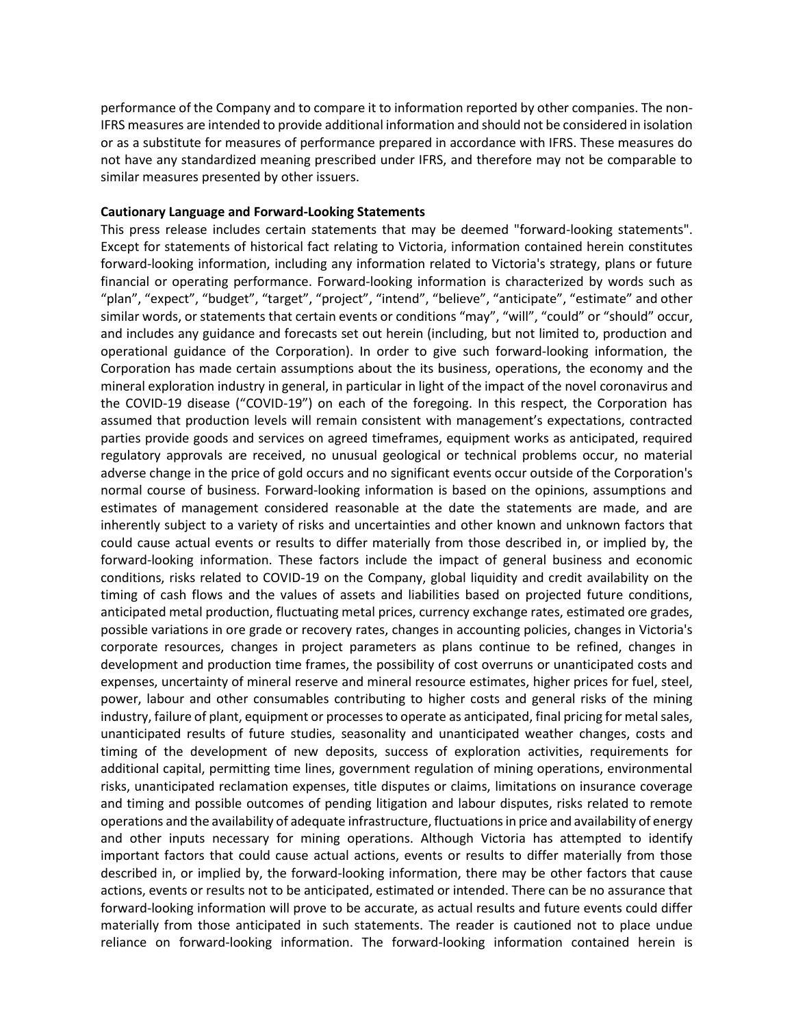performance of the Company and to compare it to information reported by other companies. The non-IFRS measures are intended to provide additional information and should not be considered in isolation or as a substitute for measures of performance prepared in accordance with IFRS. These measures do not have any standardized meaning prescribed under IFRS, and therefore may not be comparable to similar measures presented by other issuers.

#### **Cautionary Language and Forward-Looking Statements**

This press release includes certain statements that may be deemed "forward-looking statements". Except for statements of historical fact relating to Victoria, information contained herein constitutes forward-looking information, including any information related to Victoria's strategy, plans or future financial or operating performance. Forward-looking information is characterized by words such as "plan", "expect", "budget", "target", "project", "intend", "believe", "anticipate", "estimate" and other similar words, or statements that certain events or conditions "may", "will", "could" or "should" occur, and includes any guidance and forecasts set out herein (including, but not limited to, production and operational guidance of the Corporation). In order to give such forward-looking information, the Corporation has made certain assumptions about the its business, operations, the economy and the mineral exploration industry in general, in particular in light of the impact of the novel coronavirus and the COVID-19 disease ("COVID-19") on each of the foregoing. In this respect, the Corporation has assumed that production levels will remain consistent with management's expectations, contracted parties provide goods and services on agreed timeframes, equipment works as anticipated, required regulatory approvals are received, no unusual geological or technical problems occur, no material adverse change in the price of gold occurs and no significant events occur outside of the Corporation's normal course of business. Forward-looking information is based on the opinions, assumptions and estimates of management considered reasonable at the date the statements are made, and are inherently subject to a variety of risks and uncertainties and other known and unknown factors that could cause actual events or results to differ materially from those described in, or implied by, the forward-looking information. These factors include the impact of general business and economic conditions, risks related to COVID-19 on the Company, global liquidity and credit availability on the timing of cash flows and the values of assets and liabilities based on projected future conditions, anticipated metal production, fluctuating metal prices, currency exchange rates, estimated ore grades, possible variations in ore grade or recovery rates, changes in accounting policies, changes in Victoria's corporate resources, changes in project parameters as plans continue to be refined, changes in development and production time frames, the possibility of cost overruns or unanticipated costs and expenses, uncertainty of mineral reserve and mineral resource estimates, higher prices for fuel, steel, power, labour and other consumables contributing to higher costs and general risks of the mining industry, failure of plant, equipment or processes to operate as anticipated, final pricing for metalsales, unanticipated results of future studies, seasonality and unanticipated weather changes, costs and timing of the development of new deposits, success of exploration activities, requirements for additional capital, permitting time lines, government regulation of mining operations, environmental risks, unanticipated reclamation expenses, title disputes or claims, limitations on insurance coverage and timing and possible outcomes of pending litigation and labour disputes, risks related to remote operations and the availability of adequate infrastructure, fluctuations in price and availability of energy and other inputs necessary for mining operations. Although Victoria has attempted to identify important factors that could cause actual actions, events or results to differ materially from those described in, or implied by, the forward-looking information, there may be other factors that cause actions, events or results not to be anticipated, estimated or intended. There can be no assurance that forward-looking information will prove to be accurate, as actual results and future events could differ materially from those anticipated in such statements. The reader is cautioned not to place undue reliance on forward-looking information. The forward-looking information contained herein is